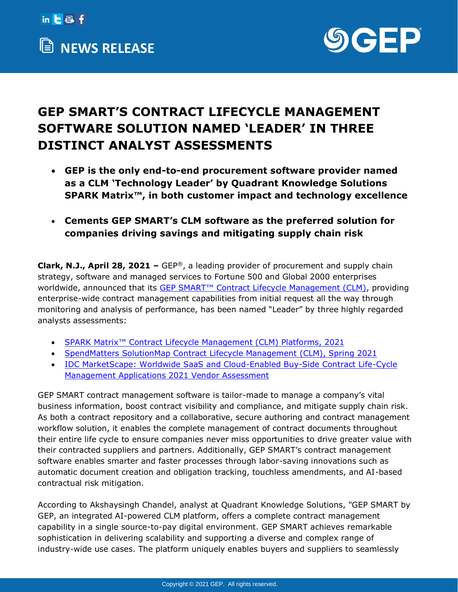



## **GEP SMART'S CONTRACT LIFECYCLE MANAGEMENT SOFTWARE SOLUTION NAMED 'LEADER' IN THREE DISTINCT ANALYST ASSESSMENTS**

- **GEP is the only end-to-end procurement software provider named as a CLM 'Technology Leader' by Quadrant Knowledge Solutions SPARK Matrix™, in both customer impact and technology excellence**
- **Cements GEP SMART's CLM software as the preferred solution for companies driving savings and mitigating supply chain risk**

**Clark, N.J., April 28, 2021 –** GEP®, a leading provider of procurement and supply chain strategy, software and managed services to Fortune 500 and Global 2000 enterprises worldwide, announced that its GEP SMART<sup>™</sup> Contract Lifecycle Management (CLM), providing enterprise-wide contract management capabilities from initial request all the way through monitoring and analysis of performance, has been named "Leader" by three highly regarded analysts assessments:

- SPARK Matrix™ [Contract Lifecycle Management \(CLM\) Platforms, 2021](https://www.gep.com/clp/three-top-analysts-one-clear-leader-in-clm-software)
- [SpendMatters SolutionMap Contract Lifecycle Management \(CLM\), Spring 2021](https://spendmatters.com/solutionmap/contract-lifecycle-management-clm)
- [IDC MarketScape: Worldwide SaaS and Cloud-Enabled Buy-Side Contract Life-Cycle](https://www.gep.com/idc-marketscape-2021)  [Management Applications 2021 Vendor Assessment](https://www.gep.com/idc-marketscape-2021)

GEP SMART contract management software is tailor-made to manage a company's vital business information, boost contract visibility and compliance, and mitigate supply chain risk. As both a contract repository and a collaborative, secure authoring and contract management workflow solution, it enables the complete management of contract documents throughout their entire life cycle to ensure companies never miss opportunities to drive greater value with their contracted suppliers and partners. Additionally, GEP SMART's contract management software enables smarter and faster processes through labor-saving innovations such as automatic document creation and obligation tracking, touchless amendments, and AI-based contractual risk mitigation.

According to Akshaysingh Chandel, analyst at Quadrant Knowledge Solutions, "GEP SMART by GEP, an integrated AI-powered CLM platform, offers a complete contract management capability in a single source-to-pay digital environment. GEP SMART achieves remarkable sophistication in delivering scalability and supporting a diverse and complex range of industry-wide use cases. The platform uniquely enables buyers and suppliers to seamlessly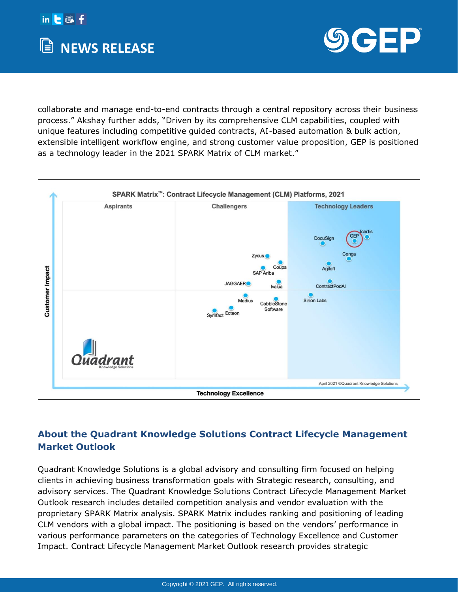



collaborate and manage end-to-end contracts through a central repository across their business process." Akshay further adds, "Driven by its comprehensive CLM capabilities, coupled with unique features including competitive guided contracts, AI-based automation & bulk action, extensible intelligent workflow engine, and strong customer value proposition, GEP is positioned as a technology leader in the 2021 SPARK Matrix of CLM market."



## **About the Quadrant Knowledge Solutions Contract Lifecycle Management Market Outlook**

[Quadrant Knowledge Solutions](https://quadrant-solutions.com/) is a global advisory and consulting firm focused on helping clients in achieving business transformation goals with Strategic research, consulting, and advisory services. The Quadrant Knowledge Solutions Contract Lifecycle Management Market Outlook research includes detailed competition analysis and vendor evaluation with the proprietary SPARK Matrix analysis. SPARK Matrix includes ranking and positioning of leading CLM vendors with a global impact. The positioning is based on the vendors' performance in various performance parameters on the categories of Technology Excellence and Customer Impact. Contract Lifecycle Management Market Outlook research provides strategic